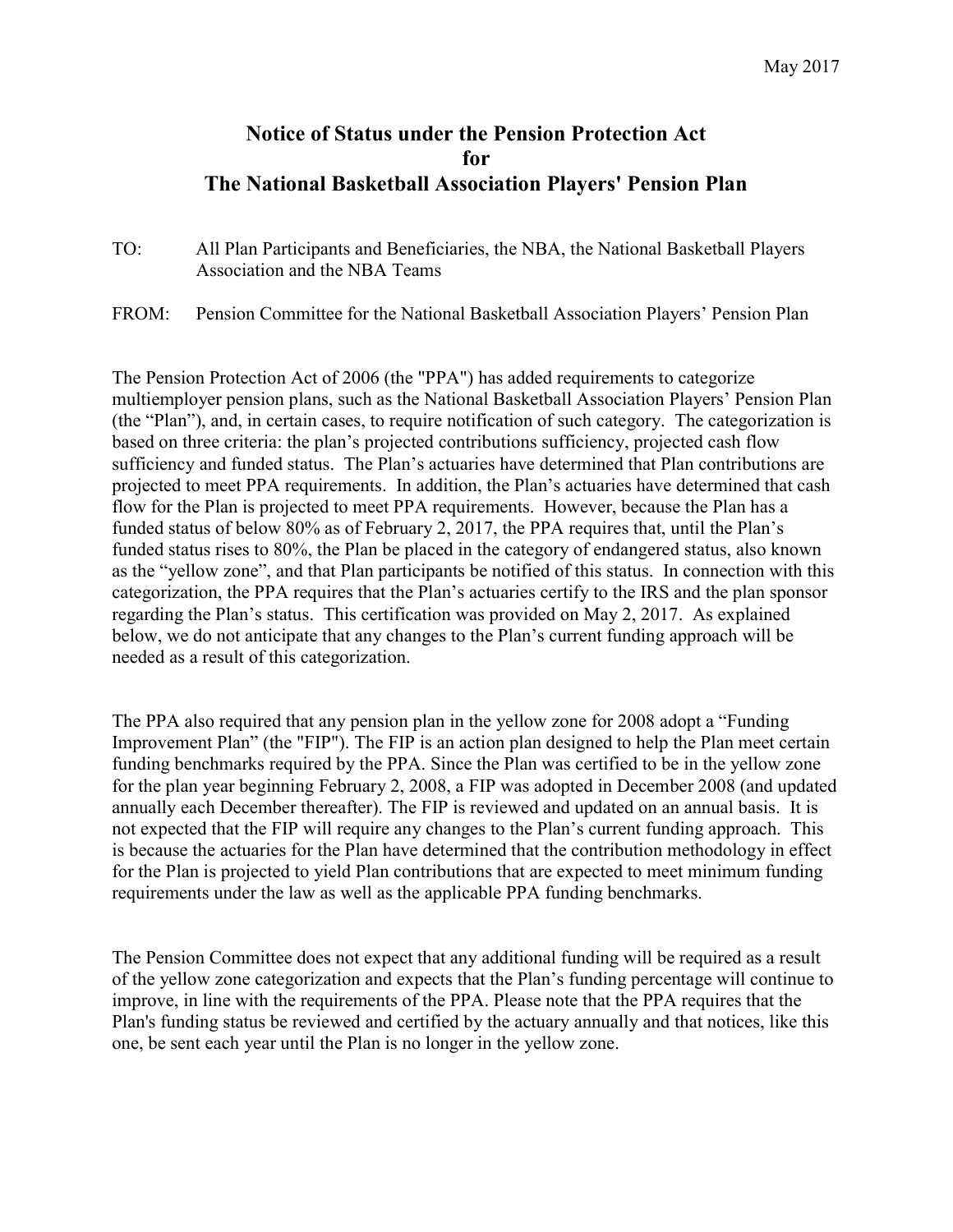## Notice of Status under the Pension Protection Act for The National Basketball Association Players' Pension Plan

- TO: All Plan Participants and Beneficiaries, the NBA, the National Basketball Players Association and the NBA Teams
- FROM: Pension Committee for the National Basketball Association Players' Pension Plan

The Pension Protection Act of 2006 (the "PPA") has added requirements to categorize multiemployer pension plans, such as the National Basketball Association Players' Pension Plan (the "Plan"), and, in certain cases, to require notification of such category. The categorization is based on three criteria: the plan's projected contributions sufficiency, projected cash flow sufficiency and funded status. The Plan's actuaries have determined that Plan contributions are projected to meet PPA requirements. In addition, the Plan's actuaries have determined that cash flow for the Plan is projected to meet PPA requirements. However, because the Plan has a funded status of below 80% as of February 2, 2017, the PPA requires that, until the Plan's funded status rises to 80%, the Plan be placed in the category of endangered status, also known as the "yellow zone", and that Plan participants be notified of this status. In connection with this categorization, the PPA requires that the Plan's actuaries certify to the IRS and the plan sponsor regarding the Plan's status. This certification was provided on May 2, 2017. As explained below, we do not anticipate that any changes to the Plan's current funding approach will be needed as a result of this categorization.

The PPA also required that any pension plan in the yellow zone for 2008 adopt a "Funding Improvement Plan" (the "FIP"). The FIP is an action plan designed to help the Plan meet certain funding benchmarks required by the PPA. Since the Plan was certified to be in the yellow zone for the plan year beginning February 2, 2008, a FIP was adopted in December 2008 (and updated annually each December thereafter). The FIP is reviewed and updated on an annual basis. It is not expected that the FIP will require any changes to the Plan's current funding approach. This is because the actuaries for the Plan have determined that the contribution methodology in effect for the Plan is projected to yield Plan contributions that are expected to meet minimum funding requirements under the law as well as the applicable PPA funding benchmarks.

The Pension Committee does not expect that any additional funding will be required as a result of the yellow zone categorization and expects that the Plan's funding percentage will continue to improve, in line with the requirements of the PPA. Please note that the PPA requires that the Plan's funding status be reviewed and certified by the actuary annually and that notices, like this one, be sent each year until the Plan is no longer in the yellow zone.